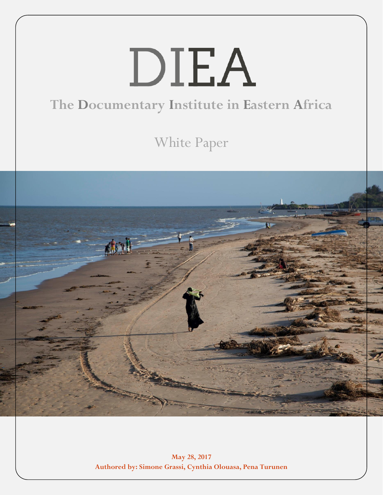# DIEA **The Documentary Institute in Eastern Africa**

White Paper



**May 28, 2017 Authored by: Simone Grassi, Cynthia Olouasa, Pena Turunen**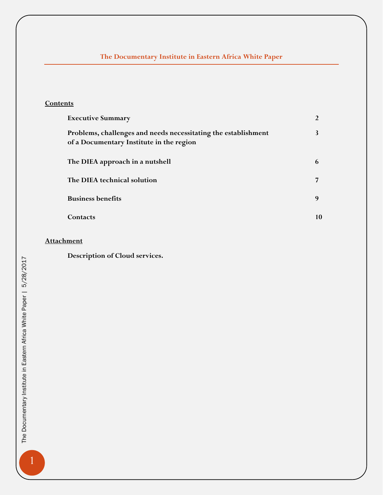# **The Documentary Institute in Eastern Africa White Paper**

# **Contents**

| <b>Executive Summary</b>                                                                                   |    |
|------------------------------------------------------------------------------------------------------------|----|
| Problems, challenges and needs necessitating the establishment<br>of a Documentary Institute in the region |    |
| The DIEA approach in a nutshell                                                                            | 6  |
| The DIEA technical solution                                                                                |    |
| <b>Business benefits</b>                                                                                   | 9  |
| Contacts                                                                                                   | 10 |

# **Attachment**

**Description of Cloud services.**

1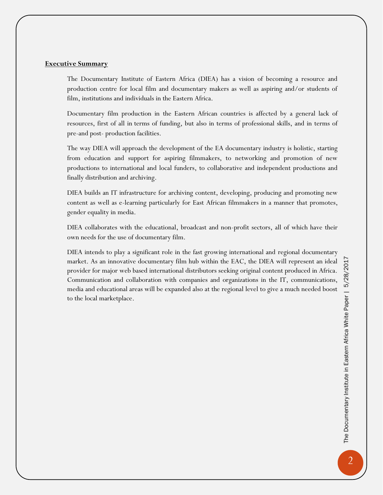# /2017 The Documentary Institute in Eastern Africa White Paper | 5/28/2017<br>N The Documentary Institute in Eastern Africa White Paper | 5/28/

# **Executive Summary**

The Documentary Institute of Eastern Africa (DIEA) has a vision of becoming a resource and production centre for local film and documentary makers as well as aspiring and/or students of film, institutions and individuals in the Eastern Africa.

Documentary film production in the Eastern African countries is affected by a general lack of resources, first of all in terms of funding, but also in terms of professional skills, and in terms of pre-and post- production facilities.

The way DIEA will approach the development of the EA documentary industry is holistic, starting from education and support for aspiring filmmakers, to networking and promotion of new productions to international and local funders, to collaborative and independent productions and finally distribution and archiving.

DIEA builds an IT infrastructure for archiving content, developing, producing and promoting new content as well as e-learning particularly for East African filmmakers in a manner that promotes, gender equality in media.

DIEA collaborates with the educational, broadcast and non-profit sectors, all of which have their own needs for the use of documentary film.

DIEA intends to play a significant role in the fast growing international and regional documentary market. As an innovative documentary film hub within the EAC, the DIEA will represent an ideal provider for major web based international distributors seeking original content produced in Africa. Communication and collaboration with companies and organizations in the IT, communications, media and educational areas will be expanded also at the regional level to give a much needed boost to the local marketplace.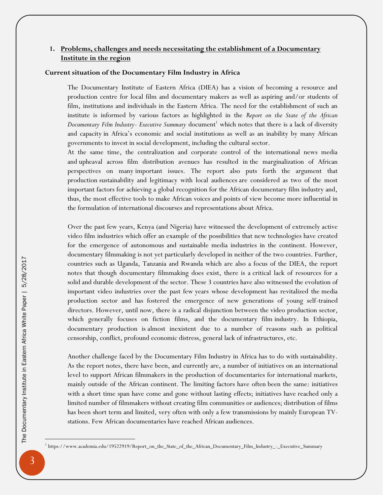# **1. Problems, challenges and needs necessitating the establishment of a Documentary Institute in the region**

# **Current situation of the Documentary Film Industry in Africa**

The Documentary Institute of Eastern Africa (DIEA) has a vision of becoming a resource and production centre for local film and documentary makers as well as aspiring and/or students of film, institutions and individuals in the Eastern Africa. The need for the establishment of such an institute is informed by various factors as highlighted in the *Report on the State of the African*  Documentary Film Industry- Executive Summary document<sup>1</sup> which notes that there is a lack of diversity and capacity in Africa's economic and social institutions as well as an inability by many African governments to invest in social development, including the cultural sector.

At the same time, the centralization and corporate control of the international news media and upheaval across film distribution avenues has resulted in the marginalization of African perspectives on many important issues. The report also puts forth the argument that production sustainability and legitimacy with local audiences are considered as two of the most important factors for achieving a global recognition for the African documentary film industry and, thus, the most effective tools to make African voices and points of view become more influential in the formulation of international discourses and representations about Africa.

Over the past few years, Kenya (and Nigeria) have witnessed the development of extremely active video film industries which offer an example of the possibilities that new technologies have created for the emergence of autonomous and sustainable media industries in the continent. However, documentary filmmaking is not yet particularly developed in neither of the two countries. Further, countries such as Uganda, Tanzania and Rwanda which are also a focus of the DIEA, the report notes that though documentary filmmaking does exist, there is a critical lack of resources for a solid and durable development of the sector. These 3 countries have also witnessed the evolution of important video industries over the past few years whose development has revitalized the media production sector and has fostered the emergence of new generations of young self-trained directors. However, until now, there is a radical disjunction between the video production sector, which generally focuses on fiction films, and the documentary film industry. In Ethiopia, documentary production is almost inexistent due to a number of reasons such as political censorship, conflict, profound economic distress, general lack of infrastructures, etc.

Another challenge faced by the Documentary Film Industry in Africa has to do with sustainability. As the report notes, there have been, and currently are, a number of initiatives on an international level to support African filmmakers in the production of documentaries for international markets, mainly outside of the African continent. The limiting factors have often been the same: initiatives with a short time span have come and gone without lasting effects; initiatives have reached only a limited number of filmmakers without creating film communities or audiences; distribution of films has been short term and limited, very often with only a few transmissions by mainly European TVstations. Few African documentaries have reached African audiences.

 $\overline{a}$ 

<sup>&</sup>lt;sup>1</sup> https://www.academia.edu/19522919/Report\_on\_the\_State\_of\_the\_African\_Documentary\_Film\_Industry\_-\_Executive\_Summary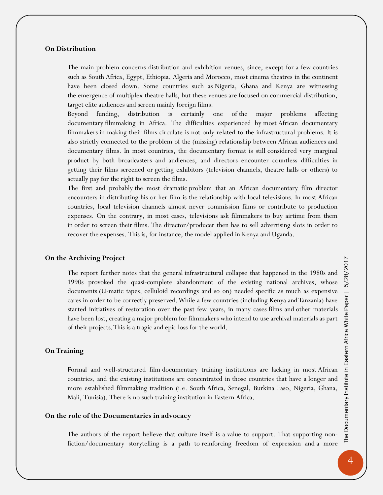#### **On Distribution**

The main problem concerns distribution and exhibition venues, since, except for a few countries such as South Africa, Egypt, Ethiopia, Algeria and Morocco, most cinema theatres in the continent have been closed down. Some countries such as Nigeria, Ghana and Kenya are witnessing the emergence of multiplex theatre halls, but these venues are focused on commercial distribution, target elite audiences and screen mainly foreign films.

Beyond funding, distribution is certainly one of the major problems affecting documentary filmmaking in Africa. The difficulties experienced by most African documentary filmmakers in making their films circulate is not only related to the infrastructural problems. It is also strictly connected to the problem of the (missing) relationship between African audiences and documentary films. In most countries, the documentary format is still considered very marginal product by both broadcasters and audiences, and directors encounter countless difficulties in getting their films screened or getting exhibitors (television channels, theatre halls or others) to actually pay for the right to screen the films.

The first and probably the most dramatic problem that an African documentary film director encounters in distributing his or her film is the relationship with local televisions. In most African countries, local television channels almost never commission films or contribute to production expenses. On the contrary, in most cases, televisions ask filmmakers to buy airtime from them in order to screen their films. The director/producer then has to sell advertising slots in order to recover the expenses. This is, for instance, the model applied in Kenya and Uganda.

#### **On the Archiving Project**

The report further notes that the general infrastructural collapse that happened in the 1980s and 1990s provoked the quasi-complete abandonment of the existing national archives, whose documents (U-matic tapes, celluloid recordings and so on) needed specific as much as expensive cares in order to be correctly preserved. While a few countries (including Kenya and Tanzania) have started initiatives of restoration over the past few years, in many cases films and other materials have been lost, creating a major problem for filmmakers who intend to use archival materials as part of their projects. This is a tragic and epic loss for the world.

#### **On Training**

Formal and well-structured film documentary training institutions are lacking in most African countries, and the existing institutions are concentrated in those countries that have a longer and more established filmmaking tradition (i.e. South Africa, Senegal, Burkina Faso, Nigeria, Ghana, Mali, Tunisia). There is no such training institution in Eastern Africa.

# **On the role of the Documentaries in advocacy**

The authors of the report believe that culture itself is a value to support. That supporting nonfiction/documentary storytelling is a path to reinforcing freedom of expression and a more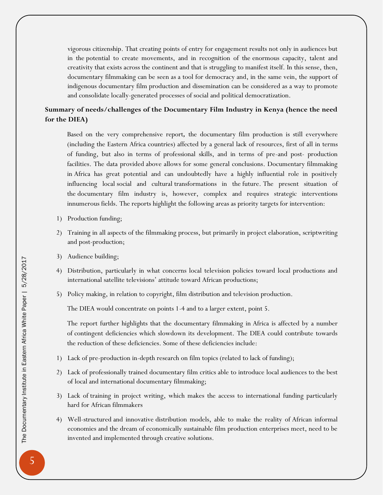vigorous citizenship. That creating points of entry for engagement results not only in audiences but in the potential to create movements, and in recognition of the enormous capacity, talent and creativity that exists across the continent and that is struggling to manifest itself. In this sense, then, documentary filmmaking can be seen as a tool for democracy and, in the same vein, the support of indigenous documentary film production and dissemination can be considered as a way to promote and consolidate locally-generated processes of social and political democratization.

# **Summary of needs/challenges of the Documentary Film Industry in Kenya (hence the need for the DIEA)**

Based on the very comprehensive report*,* the documentary film production is still everywhere (including the Eastern Africa countries) affected by a general lack of resources, first of all in terms of funding, but also in terms of professional skills, and in terms of pre-and post- production facilities. The data provided above allows for some general conclusions. Documentary filmmaking in Africa has great potential and can undoubtedly have a highly influential role in positively influencing local social and cultural transformations in the future. The present situation of the documentary film industry is, however, complex and requires strategic interventions innumerous fields. The reports highlight the following areas as priority targets for intervention:

- 1) Production funding;
- 2) Training in all aspects of the filmmaking process, but primarily in project elaboration, scriptwriting and post-production;
- 3) Audience building;
- 4) Distribution, particularly in what concerns local television policies toward local productions and international satellite televisions' attitude toward African productions;
- 5) Policy making, in relation to copyright, film distribution and television production.

The DIEA would concentrate on points 1-4 and to a larger extent, point 5.

The report further highlights that the documentary filmmaking in Africa is affected by a number of contingent deficiencies which slowdown its development. The DIEA could contribute towards the reduction of these deficiencies. Some of these deficiencies include:

- 1) Lack of pre-production in-depth research on film topics (related to lack of funding);
- 2) Lack of professionally trained documentary film critics able to introduce local audiences to the best of local and international documentary filmmaking;
- 3) Lack of training in project writing, which makes the access to international funding particularly hard for African filmmakers
- 4) Well-structured and innovative distribution models, able to make the reality of African informal economies and the dream of economically sustainable film production enterprises meet, need to be invented and implemented through creative solutions.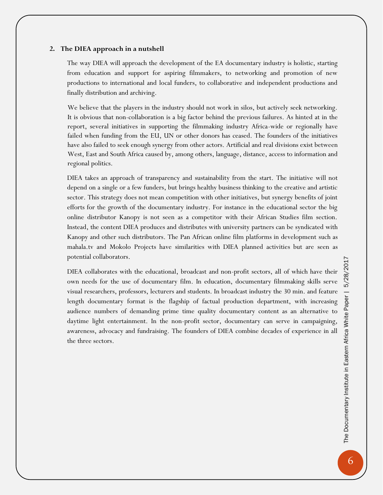# **2. The DIEA approach in a nutshell**

The way DIEA will approach the development of the EA documentary industry is holistic, starting from education and support for aspiring filmmakers, to networking and promotion of new productions to international and local funders, to collaborative and independent productions and finally distribution and archiving.

We believe that the players in the industry should not work in silos, but actively seek networking. It is obvious that non-collaboration is a big factor behind the previous failures. As hinted at in the report, several initiatives in supporting the filmmaking industry Africa-wide or regionally have failed when funding from the EU, UN or other donors has ceased. The founders of the initiatives have also failed to seek enough synergy from other actors. Artificial and real divisions exist between West, East and South Africa caused by, among others, language, distance, access to information and regional politics.

DIEA takes an approach of transparency and sustainability from the start. The initiative will not depend on a single or a few funders, but brings healthy business thinking to the creative and artistic sector. This strategy does not mean competition with other initiatives, but synergy benefits of joint efforts for the growth of the documentary industry. For instance in the educational sector the big online distributor Kanopy is not seen as a competitor with their African Studies film section. Instead, the content DIEA produces and distributes with university partners can be syndicated with Kanopy and other such distributors. The Pan African online film platforms in development such as mahala.tv and Mokolo Projects have similarities with DIEA planned activities but are seen as potential collaborators.

DIEA collaborates with the educational, broadcast and non-profit sectors, all of which have their own needs for the use of documentary film. In education, documentary filmmaking skills serve visual researchers, professors, lecturers and students. In broadcast industry the 30 min. and feature length documentary format is the flagship of factual production department, with increasing audience numbers of demanding prime time quality documentary content as an alternative to daytime light entertainment. In the non-profit sector, documentary can serve in campaigning, awareness, advocacy and fundraising. The founders of DIEA combine decades of experience in all the three sectors.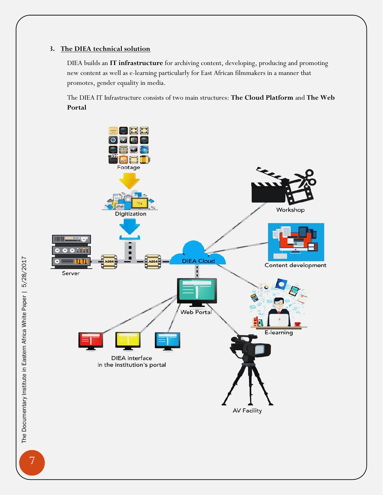# **3. The DIEA technical solution**

DIEA builds an **IT infrastructure** for archiving content, developing, producing and promoting new content as well as e-learning particularly for East African filmmakers in a manner that promotes, gender equality in media.

The DIEA IT Infrastructure consists of two main structures: **The Cloud Platform** and **The Web Portal**



7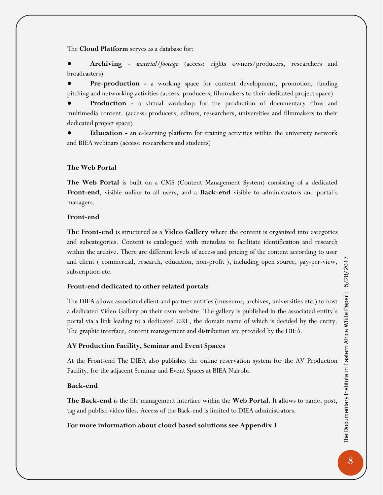The **Cloud Platform** serves as a database for:

● **Archiving** - *material/footage* (access: rights owners/producers, researchers and broadcasters)

Pre-production - a working space for content development, promotion, funding pitching and networking activities (access: producers, filmmakers to their dedicated project space)

**Production -** a virtual workshop for the production of documentary films and multimedia content. (access: producers, editors, researchers, universities and filmmakers to their dedicated project space)

**Education -** an e-learning platform for training activities within the university network and BIEA webinars (access: researchers and students)

# **The Web Portal**

**The Web Portal** is built on a CMS (Content Management System) consisting of a dedicated **Front-end**, visible online to all users, and a **Back-end** visible to administrators and portal's managers.

# **Front-end**

**The Front-end** is structured as a **Video Gallery** where the content is organized into categories and subcategories. Content is catalogued with metadata to facilitate identification and research within the archive. There are different levels of access and pricing of the content according to user and client ( commercial, research, education, non-profit ), including open source, pay-per-view, subscription etc.

# **Front-end dedicated to other related portals**

The DIEA allows associated client and partner entities (museums, archives, universities etc.) to host a dedicated Video Gallery on their own website. The gallery is published in the associated entity's portal via a link leading to a dedicated URL, the domain name of which is decided by the entity. The graphic interface, content management and distribution are provided by the DIEA.

# **AV Production Facility, Seminar and Event Spaces**

At the Front-end The DIEA also publishes the online reservation system for the AV Production Facility, for the adjacent Seminar and Event Spaces at BIEA Nairobi.

# **Back-end**

**The Back-end** is the file management interface within the **Web Portal**. It allows to name, post, tag and publish video files. Access of the Back-end is limited to DIEA administrators.

# **For more information about cloud based solutions see Appendix 1**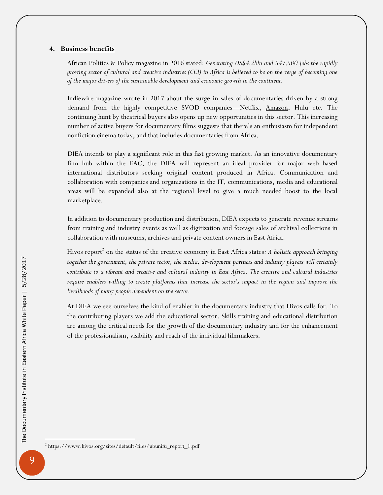#### **4. Business benefits**

African Politics & Policy magazine in 2016 stated: *Generating US\$4.2bln and 547,500 jobs the rapidly growing sector of cultural and creative industries (CCI) in Africa is believed to be on the verge of becoming one of the major drivers of the sustainable development and economic growth in the continent.* 

Indiewire magazine wrote in 2017 about the surge in sales of documentaries driven by a strong demand from the highly competitive SVOD companies—Netflix, [Amazon,](http://www.indiewire.com/t/amazon/) Hulu etc. The continuing hunt by theatrical buyers also opens up new opportunities in this sector. This increasing number of active buyers for documentary films suggests that there's an enthusiasm for independent nonfiction cinema today, and that includes documentaries from Africa.

DIEA intends to play a significant role in this fast growing market. As an innovative documentary film hub within the EAC, the DIEA will represent an ideal provider for major web based international distributors seeking original content produced in Africa. Communication and collaboration with companies and organizations in the IT, communications, media and educational areas will be expanded also at the regional level to give a much needed boost to the local marketplace.

In addition to documentary production and distribution, DIEA expects to generate revenue streams from training and industry events as well as digitization and footage sales of archival collections in collaboration with museums, archives and private content owners in East Africa.

Hivos report<sup>2</sup> on the status of the creative economy in East Africa states: A holistic approach bringing *together the government, the private sector, the media, development partners and industry players will certainly contribute to a vibrant and creative and cultural industry in East Africa. The creative and cultural industries require enablers willing to create platforms that increase the sector's impact in the region and improve the livelihoods of many people dependent on the sector.*

At DIEA we see ourselves the kind of enabler in the documentary industry that Hivos calls for. To the contributing players we add the educational sector. Skills training and educational distribution are among the critical needs for the growth of the documentary industry and for the enhancement of the professionalism, visibility and reach of the individual filmmakers.

 $\overline{a}$ 

<sup>2</sup> https://www.hivos.org/sites/default/files/ubunifu\_report\_1.pdf